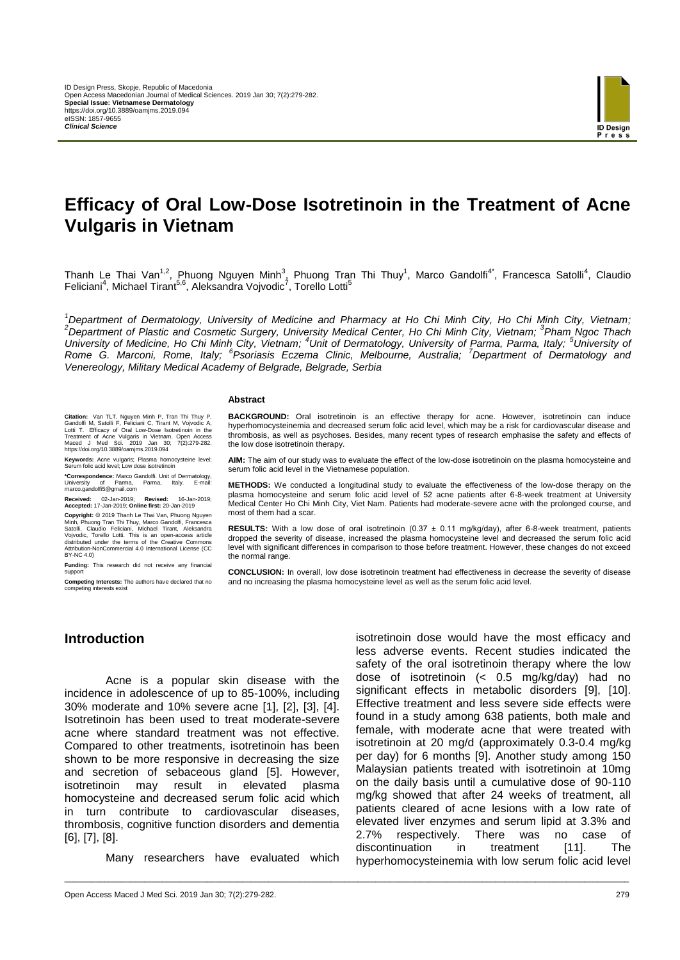

# **Efficacy of Oral Low-Dose Isotretinoin in the Treatment of Acne Vulgaris in Vietnam**

Thanh Le Thai Van<sup>1,2</sup>, Phuong Nguyen Minh<sup>3</sup>, Phuong Tran Thi Thuy<sup>1</sup>, Marco Gandolfi<sup>4\*</sup>, Francesca Satolli<sup>4</sup>, Claudio Feliciani<sup>4</sup>, Michael Tirant<sup>5,6</sup>, Aleksandra Vojvodic<sup>7</sup>, Torello Lotti<sup>5</sup>

*<sup>1</sup>Department of Dermatology, University of Medicine and Pharmacy at Ho Chi Minh City, Ho Chi Minh City, Vietnam; <sup>2</sup>Department of Plastic and Cosmetic Surgery, University Medical Center, Ho Chi Minh City, Vietnam; 3 Pham Ngoc Thach*  University of Medicine, Ho Chi Minh City, Vietnam; <sup>4</sup>Unit of Dermatology, University of Parma, Parma, Italy; <sup>5</sup>University of *Rome G. Marconi, Rome, Italy; <sup>6</sup> Psoriasis Eczema Clinic, Melbourne, Australia; <sup>7</sup>Department of Dermatology and Venereology, Military Medical Academy of Belgrade, Belgrade, Serbia*

\_\_\_\_\_\_\_\_\_\_\_\_\_\_\_\_\_\_\_\_\_\_\_\_\_\_\_\_\_\_\_\_\_\_\_\_\_\_\_\_\_\_\_\_\_\_\_\_\_\_\_\_\_\_\_\_\_\_\_\_\_\_\_\_\_\_\_\_\_\_\_\_\_\_\_\_\_\_\_\_\_\_\_\_\_\_\_\_\_\_\_\_\_\_\_\_\_\_\_\_\_\_\_\_\_\_\_\_\_\_\_\_\_\_\_\_\_\_\_\_\_\_\_\_\_\_\_

#### **Abstract**

**Citation:** Van TLT, Nguyen Minh P, Tran Thi Thuy P, Gandolfi M, Satolli F, Feliciani C, Tirant M, Vojvodic A, Lotti T. Efficacy of Oral Low-Dose Isotretinoin in the Treatment of Acne Vulgaris in Vietnam. Open Access Maced J Med Sci. 2019 Jan 30; 7(2):279-282. https://doi.org/10.3889/oamjms.2019.094

**Keywords:** Acne vulgaris; Plasma homocysteine level; Serum folic acid level; Low dose isotretinoin

**\*Correspondence:** Marco Gandolfi. Unit of Dermatology, University of Parma, Parma, Italy. E-mail: University of Parma, Parma,<br>marco.gandolfi5@gmail.com

**Received:** 02-Jan-2019; **Revised:** 16-Jan-2019; **Accepted:** 17-Jan-2019; **Online first:** 20-Jan-2019

Copyright: © 2019 Thanh Le Thai Van, Phuong Nguyen<br>Minh, Phuong Tran Thi Thuy, Marco Gandolfi, Francesca<br>Satolli, Claudio Feliciani, Michael Tirant, Aleksandra<br>Vojvodic, Torello Lotti. This is an open-access article<br>distri BY-NC 4.0)

**Funding:** This research did not receive any financial support

**Competing Interests:** The authors have declared that no competing interests ex

**BACKGROUND:** Oral isotretinoin is an effective therapy for acne. However, isotretinoin can induce hyperhomocysteinemia and decreased serum folic acid level, which may be a risk for cardiovascular disease and thrombosis, as well as psychoses. Besides, many recent types of research emphasise the safety and effects of the low dose isotretinoin therapy.

**AIM:** The aim of our study was to evaluate the effect of the low-dose isotretinoin on the plasma homocysteine and serum folic acid level in the Vietnamese population.

**METHODS:** We conducted a longitudinal study to evaluate the effectiveness of the low-dose therapy on the plasma homocysteine and serum folic acid level of 52 acne patients after 6-8-week treatment at University Medical Center Ho Chi Minh City, Viet Nam. Patients had moderate-severe acne with the prolonged course, and most of them had a scar.

**RESULTS:** With a low dose of oral isotretinoin (0.37 ± 0.11 mg/kg/day), after 6-8-week treatment, patients dropped the severity of disease, increased the plasma homocysteine level and decreased the serum folic acid level with significant differences in comparison to those before treatment. However, these changes do not exceed the normal range.

**CONCLUSION:** In overall, low dose isotretinoin treatment had effectiveness in decrease the severity of disease and no increasing the plasma homocysteine level as well as the serum folic acid level.

## **Introduction**

Acne is a popular skin disease with the incidence in adolescence of up to 85-100%, including 30% moderate and 10% severe acne [1], [2], [3], [4]. Isotretinoin has been used to treat moderate-severe acne where standard treatment was not effective. Compared to other treatments, isotretinoin has been shown to be more responsive in decreasing the size and secretion of sebaceous gland [5]. However, isotretinoin may result in elevated plasma homocysteine and decreased serum folic acid which in turn contribute to cardiovascular diseases, thrombosis, cognitive function disorders and dementia [6], [7], [8].

Many researchers have evaluated which

isotretinoin dose would have the most efficacy and less adverse events. Recent studies indicated the safety of the oral isotretinoin therapy where the low dose of isotretinoin (< 0.5 mg/kg/day) had no significant effects in metabolic disorders [9], [10]. Effective treatment and less severe side effects were found in a study among 638 patients, both male and female, with moderate acne that were treated with isotretinoin at 20 mg/d (approximately 0.3-0.4 mg/kg per day) for 6 months [9]. Another study among 150 Malaysian patients treated with isotretinoin at 10mg on the daily basis until a cumulative dose of 90-110 mg/kg showed that after 24 weeks of treatment, all patients cleared of acne lesions with a low rate of elevated liver enzymes and serum lipid at 3.3% and 2.7% respectively. There was no case of discontinuation in treatment [11]. The hyperhomocysteinemia with low serum folic acid level

Open Access Maced J Med Sci. 2019 Jan 30; 7(2):279-282. 279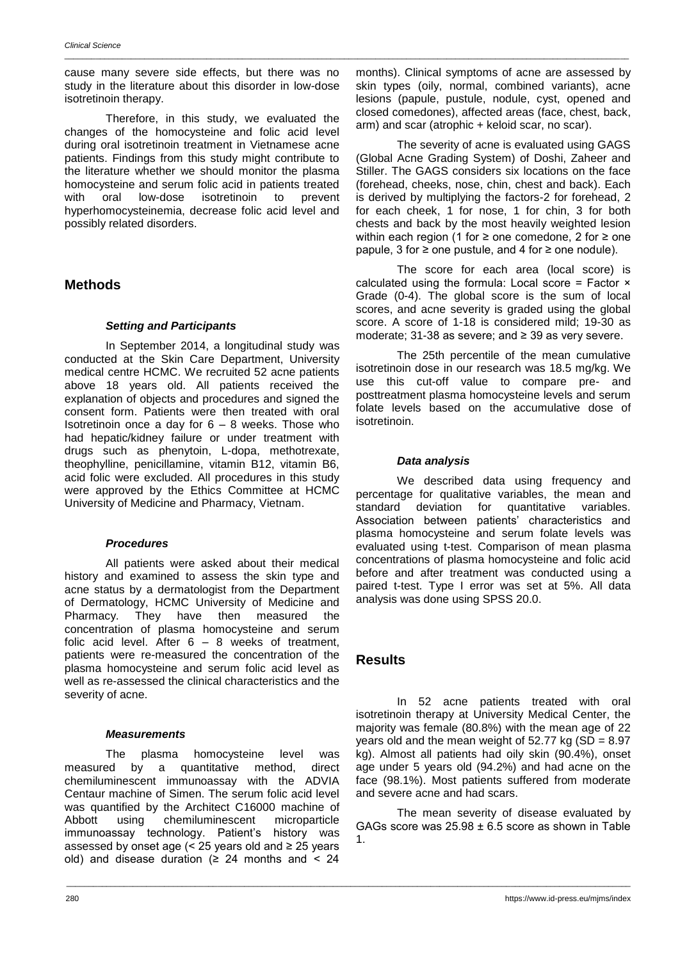cause many severe side effects, but there was no study in the literature about this disorder in low-dose isotretinoin therapy.

\_\_\_\_\_\_\_\_\_\_\_\_\_\_\_\_\_\_\_\_\_\_\_\_\_\_\_\_\_\_\_\_\_\_\_\_\_\_\_\_\_\_\_\_\_\_\_\_\_\_\_\_\_\_\_\_\_\_\_\_\_\_\_\_\_\_\_\_\_\_\_\_\_\_\_\_\_\_\_\_\_\_\_\_\_\_\_\_\_\_\_\_\_\_\_\_\_\_\_\_\_\_\_\_\_\_\_\_\_\_\_\_\_\_\_\_\_\_\_\_\_\_\_\_\_\_\_

Therefore, in this study, we evaluated the changes of the homocysteine and folic acid level during oral isotretinoin treatment in Vietnamese acne patients. Findings from this study might contribute to the literature whether we should monitor the plasma homocysteine and serum folic acid in patients treated with oral low-dose isotretinoin to prevent hyperhomocysteinemia, decrease folic acid level and possibly related disorders.

## **Methods**

#### *Setting and Participants*

In September 2014, a longitudinal study was conducted at the Skin Care Department, University medical centre HCMC. We recruited 52 acne patients above 18 years old. All patients received the explanation of objects and procedures and signed the consent form. Patients were then treated with oral Isotretinoin once a day for  $6 - 8$  weeks. Those who had hepatic/kidney failure or under treatment with drugs such as phenytoin, L-dopa, methotrexate, theophylline, penicillamine, vitamin B12, vitamin B6, acid folic were excluded. All procedures in this study were approved by the Ethics Committee at HCMC University of Medicine and Pharmacy, Vietnam.

#### *Procedures*

All patients were asked about their medical history and examined to assess the skin type and acne status by a dermatologist from the Department of Dermatology, HCMC University of Medicine and<br>Pharmacy. They have then measured the Pharmacy. They have then measured the concentration of plasma homocysteine and serum folic acid level. After 6 – 8 weeks of treatment, patients were re-measured the concentration of the plasma homocysteine and serum folic acid level as well as re-assessed the clinical characteristics and the severity of acne.

#### *Measurements*

The plasma homocysteine level was measured by a quantitative method, direct chemiluminescent immunoassay with the ADVIA Centaur machine of Simen. The serum folic acid level was quantified by the Architect C16000 machine of Abbott using chemiluminescent microparticle immunoassay technology. Patient's history was assessed by onset age (< 25 years old and  $\geq$  25 years old) and disease duration ( $\geq$  24 months and < 24

months). Clinical symptoms of acne are assessed by skin types (oily, normal, combined variants), acne lesions (papule, pustule, nodule, cyst, opened and closed comedones), affected areas (face, chest, back, arm) and scar (atrophic + keloid scar, no scar).

The severity of acne is evaluated using GAGS (Global Acne Grading System) of Doshi, Zaheer and Stiller. The GAGS considers six locations on the face (forehead, cheeks, nose, chin, chest and back). Each is derived by multiplying the factors-2 for forehead, 2 for each cheek, 1 for nose, 1 for chin, 3 for both chests and back by the most heavily weighted lesion within each region (1 for ≥ one comedone, 2 for ≥ one papule, 3 for ≥ one pustule, and 4 for  $≥$  one nodule).

The score for each area (local score) is calculated using the formula: Local score = Factor  $\times$ Grade (0-4). The global score is the sum of local scores, and acne severity is graded using the global score. A score of 1-18 is considered mild; 19-30 as moderate; 31-38 as severe; and ≥ 39 as very severe.

The 25th percentile of the mean cumulative isotretinoin dose in our research was 18.5 mg/kg. We use this cut-off value to compare pre- and posttreatment plasma homocysteine levels and serum folate levels based on the accumulative dose of isotretinoin.

#### *Data analysis*

We described data using frequency and percentage for qualitative variables, the mean and standard deviation for quantitative variables. standard deviation for quantitative variables. Association between patients' characteristics and plasma homocysteine and serum folate levels was evaluated using t-test. Comparison of mean plasma concentrations of plasma homocysteine and folic acid before and after treatment was conducted using a paired t-test. Type I error was set at 5%. All data analysis was done using SPSS 20.0.

## **Results**

\_\_\_\_\_\_\_\_\_\_\_\_\_\_\_\_\_\_\_\_\_\_\_\_\_\_\_\_\_\_\_\_\_\_\_\_\_\_\_\_\_\_\_\_\_\_\_\_\_\_\_\_\_\_\_\_\_\_\_\_\_\_\_\_\_\_\_\_\_\_\_\_\_\_\_\_\_\_\_\_\_\_\_\_\_\_\_\_\_\_\_\_\_\_\_\_\_\_\_\_\_\_\_\_\_\_\_\_\_\_\_\_\_\_\_\_\_\_\_\_\_\_\_\_\_\_\_

In 52 acne patients treated with oral isotretinoin therapy at University Medical Center, the majority was female (80.8%) with the mean age of 22 years old and the mean weight of  $52.77$  kg (SD =  $8.97$ ) kg). Almost all patients had oily skin (90.4%), onset age under 5 years old (94.2%) and had acne on the face (98.1%). Most patients suffered from moderate and severe acne and had scars.

The mean severity of disease evaluated by GAGs score was 25.98 ± 6.5 score as shown in Table 1.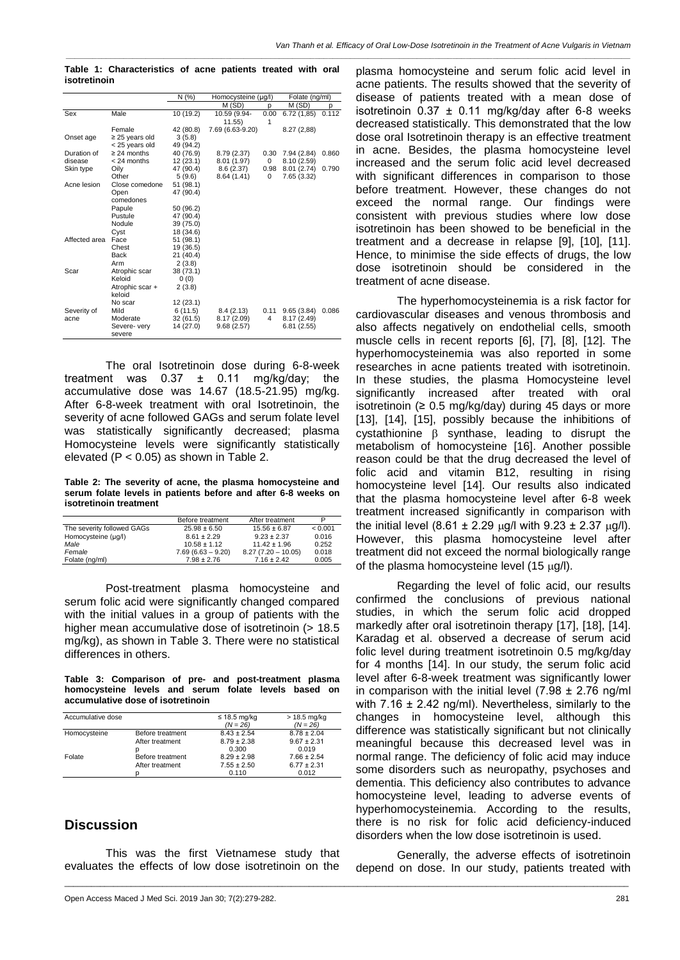*\_\_\_\_\_\_\_\_\_\_\_\_\_\_\_\_\_\_\_\_\_\_\_\_\_\_\_\_\_\_\_\_\_\_\_\_\_\_\_\_\_\_\_\_\_\_\_\_\_\_\_\_\_\_\_\_\_\_\_\_\_\_\_\_\_\_\_\_\_\_\_\_\_\_\_\_\_\_\_\_\_\_\_\_\_\_\_\_\_\_\_\_\_\_\_\_\_\_\_\_\_\_\_\_\_\_\_\_\_\_\_\_\_\_\_\_\_\_\_\_\_\_\_\_\_\_\_*

**Table 1: Characteristics of acne patients treated with oral isotretinoin**

|               |                     | N (%)     | Homocysteine (µg/l) |      | Folate (ng/ml) |       |
|---------------|---------------------|-----------|---------------------|------|----------------|-------|
|               |                     |           | M(SD)               | p    | M (SD)         | p     |
| Sex           | Male                | 10 (19.2) | 10.59 (9.94-        | 0.00 | 6.72(1,85)     | 0.112 |
|               |                     |           | 11.55               | 1    |                |       |
|               | Female              | 42 (80.8) | 7.69 (6.63-9.20)    |      | 8.27(2,88)     |       |
| Onset age     | $\geq$ 25 years old | 3(5.8)    |                     |      |                |       |
|               | < 25 years old      | 49 (94.2) |                     |      |                |       |
| Duration of   | $\geq$ 24 months    | 40 (76.9) | 8.79 (2.37)         | 0.30 | 7.94 (2.84)    | 0.860 |
| disease       | < 24 months         | 12 (23.1) | 8.01(1.97)          | 0    | 8.10(2.59)     |       |
| Skin type     | Oily                | 47 (90.4) | 8.6(2.37)           | 0.98 | 8.01(2.74)     | 0.790 |
|               | Other               | 5(9.6)    | 8.64(1.41)          | 0    | 7.65 (3.32)    |       |
| Acne lesion   | Close comedone      | 51 (98.1) |                     |      |                |       |
|               | Open                | 47 (90.4) |                     |      |                |       |
|               | comedones           |           |                     |      |                |       |
|               | Papule              | 50 (96.2) |                     |      |                |       |
|               | Pustule             | 47 (90.4) |                     |      |                |       |
|               | Nodule              | 39 (75.0) |                     |      |                |       |
|               | Cyst                | 18 (34.6) |                     |      |                |       |
| Affected area | Face                | 51 (98.1) |                     |      |                |       |
|               | Chest               | 19 (36.5) |                     |      |                |       |
|               | <b>Back</b>         | 21 (40.4) |                     |      |                |       |
|               | Arm                 | 2(3.8)    |                     |      |                |       |
| Scar          | Atrophic scar       | 38 (73.1) |                     |      |                |       |
|               | Keloid              | 0(0)      |                     |      |                |       |
|               | Atrophic scar +     | 2(3.8)    |                     |      |                |       |
|               | keloid              |           |                     |      |                |       |
|               | No scar             | 12(23.1)  |                     |      |                |       |
| Severity of   | Mild                | 6(11.5)   | 8.4(2.13)           | 0.11 | 9.65(3.84)     | 0.086 |
| acne          | Moderate            | 32(61.5)  | 8.17(2.09)          | 4    | 8.17 (2.49)    |       |
|               | Severe- very        | 14 (27.0) | 9.68(2.57)          |      | 6.81(2.55)     |       |
|               | severe              |           |                     |      |                |       |

The oral Isotretinoin dose during 6-8-week treatment was  $0.37 \pm 0.11$  mg/kg/day; the accumulative dose was 14.67 (18.5-21.95) mg/kg. After 6-8-week treatment with oral Isotretinoin, the severity of acne followed GAGs and serum folate level was statistically significantly decreased; plasma Homocysteine levels were significantly statistically elevated (P < 0.05) as shown in Table 2.

**Table 2: The severity of acne, the plasma homocysteine and serum folate levels in patients before and after 6-8 weeks on isotretinoin treatment**

|                            | Before treatment    | After treatment      | P       |
|----------------------------|---------------------|----------------------|---------|
| The severity followed GAGs | $25.98 \pm 6.50$    | $15.56 \pm 6.87$     | < 0.001 |
| Homocysteine (µq/l)        | $8.61 \pm 2.29$     | $9.23 \pm 2.37$      | 0.016   |
| Male                       | $10.58 \pm 1.12$    | $11.42 \pm 1.96$     | 0.252   |
| Female                     | $7.69(6.63 - 9.20)$ | $8.27(7.20 - 10.05)$ | 0.018   |
| Folate (ng/ml)             | $7.98 \pm 2.76$     | $7.16 \pm 2.42$      | 0.005   |

Post-treatment plasma homocysteine and serum folic acid were significantly changed compared with the initial values in a group of patients with the higher mean accumulative dose of isotretinoin (> 18.5 mg/kg), as shown in Table 3. There were no statistical differences in others.

**Table 3: Comparison of pre- and post-treatment plasma homocysteine levels and serum folate levels based on accumulative dose of isotretinoin**

| Accumulative dose |                  | $\leq$ 18.5 mg/kg | > 18.5 mg/kg    |
|-------------------|------------------|-------------------|-----------------|
|                   |                  | $(N = 26)$        | $(N = 26)$      |
| Homocysteine      | Before treatment | $8.43 \pm 2.54$   | $8.78 \pm 2.04$ |
|                   | After treatment  | $8.79 \pm 2.38$   | $9.67 \pm 2.31$ |
|                   |                  | 0.300             | 0.019           |
| Folate            | Before treatment | $8.29 \pm 2.98$   | $7.66 \pm 2.54$ |
|                   | After treatment  | $7.55 \pm 2.50$   | $6.77 \pm 2.31$ |
|                   |                  | 0.110             | 0.012           |

#### **Discussion**

This was the first Vietnamese study that evaluates the effects of low dose isotretinoin on the

\_\_\_\_\_\_\_\_\_\_\_\_\_\_\_\_\_\_\_\_\_\_\_\_\_\_\_\_\_\_\_\_\_\_\_\_\_\_\_\_\_\_\_\_\_\_\_\_\_\_\_\_\_\_\_\_\_\_\_\_\_\_\_\_\_\_\_\_\_\_\_\_\_\_\_\_\_\_\_\_\_\_\_\_\_\_\_\_\_\_\_\_\_\_\_\_\_\_\_\_\_\_\_\_\_\_\_\_\_\_\_\_\_\_\_\_\_\_\_\_\_\_\_\_\_\_\_

plasma homocysteine and serum folic acid level in acne patients. The results showed that the severity of disease of patients treated with a mean dose of isotretinoin  $0.37 \pm 0.11$  mg/kg/day after 6-8 weeks decreased statistically. This demonstrated that the low dose oral Isotretinoin therapy is an effective treatment in acne. Besides, the plasma homocysteine level increased and the serum folic acid level decreased with significant differences in comparison to those before treatment. However, these changes do not exceed the normal range. Our findings were consistent with previous studies where low dose isotretinoin has been showed to be beneficial in the treatment and a decrease in relapse [9], [10], [11]. Hence, to minimise the side effects of drugs, the low dose isotretinoin should be considered in the treatment of acne disease.

The hyperhomocysteinemia is a risk factor for cardiovascular diseases and venous thrombosis and also affects negatively on endothelial cells, smooth muscle cells in recent reports [6], [7], [8], [12]. The hyperhomocysteinemia was also reported in some researches in acne patients treated with isotretinoin. In these studies, the plasma Homocysteine level significantly increased after treated with oral isotretinoin ( $\geq 0.5$  mg/kg/day) during 45 days or more [13], [14], [15], possibly because the inhibitions of cystathionine  $\beta$  synthase, leading to disrupt the metabolism of homocysteine [16]. Another possible reason could be that the drug decreased the level of folic acid and vitamin B12, resulting in rising homocysteine level [14]. Our results also indicated that the plasma homocysteine level after 6-8 week treatment increased significantly in comparison with the initial level (8.61 ± 2.29  $\mu$ g/l with 9.23 ± 2.37  $\mu$ g/l). However, this plasma homocysteine level after treatment did not exceed the normal biologically range of the plasma homocysteine level (15  $\mu$ g/l).

Regarding the level of folic acid, our results confirmed the conclusions of previous national studies, in which the serum folic acid dropped markedly after oral isotretinoin therapy [17], [18], [14]. Karadag et al. observed a decrease of serum acid folic level during treatment isotretinoin 0.5 mg/kg/day for 4 months [14]. In our study, the serum folic acid level after 6-8-week treatment was significantly lower in comparison with the initial level  $(7.98 \pm 2.76 \text{ ng/ml})$ with 7.16  $\pm$  2.42 ng/ml). Nevertheless, similarly to the changes in homocysteine level, although this difference was statistically significant but not clinically meaningful because this decreased level was in normal range. The deficiency of folic acid may induce some disorders such as neuropathy, psychoses and dementia. This deficiency also contributes to advance homocysteine level, leading to adverse events of hyperhomocysteinemia. According to the results, there is no risk for folic acid deficiency-induced disorders when the low dose isotretinoin is used.

Generally, the adverse effects of isotretinoin depend on dose. In our study, patients treated with